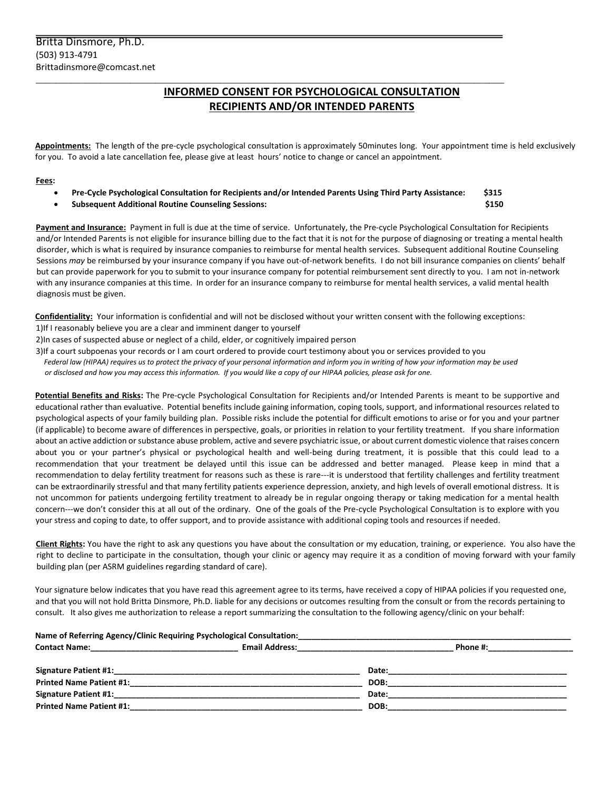# **INFORMED CONSENT FOR PSYCHOLOGICAL CONSULTATION RECIPIENTS AND/OR INTENDED PARENTS**

**Appointments:** The length of the pre-cycle psychological consultation is approximately 50minutes long. Your appointment time is held exclusively for you. To avoid a late cancellation fee, please give at least hours' notice to change or cancel an appointment.

#### **Fees:**

• **Pre-Cycle Psychological Consultation for Recipients and/or Intended Parents Using Third Party Assistance: \$315**

 $\overline{a_1}$  ,  $\overline{a_2}$  ,  $\overline{a_3}$  ,  $\overline{a_4}$  ,  $\overline{a_5}$  ,  $\overline{a_6}$  ,  $\overline{a_7}$  ,  $\overline{a_8}$  ,  $\overline{a_9}$  ,  $\overline{a_9}$  ,  $\overline{a_9}$  ,  $\overline{a_9}$  ,  $\overline{a_9}$  ,  $\overline{a_9}$  ,  $\overline{a_9}$  ,  $\overline{a_9}$  ,  $\overline{a_9}$  ,

• **Subsequent Additional Routine Counseling Sessions: \$150**

**Payment and Insurance:** Payment in full is due at the time of service. Unfortunately, the Pre-cycle Psychological Consultation for Recipients and/or Intended Parents is not eligible for insurance billing due to the fact that it is not for the purpose of diagnosing or treating a mental health disorder, which is what is required by insurance companies to reimburse for mental health services. Subsequent additional Routine Counseling Sessions *may* be reimbursed by your insurance company if you have out-of-network benefits. I do not bill insurance companies on clients' behalf but can provide paperwork for you to submit to your insurance company for potential reimbursement sent directly to you. I am not in-network with any insurance companies at this time. In order for an insurance company to reimburse for mental health services, a valid mental health diagnosis must be given.

**Confidentiality:** Your information is confidential and will not be disclosed without your written consent with the following exceptions: 1)If I reasonably believe you are a clear and imminent danger to yourself

2)In cases of suspected abuse or neglect of a child, elder, or cognitively impaired person

3)If a court subpoenas your records or I am court ordered to provide court testimony about you or services provided to you *Federal law (HIPAA) requires us to protect the privacy of your personal information and inform you in writing of how your information may be used*

 *or disclosed and how you may access this information. If you would like a copy of our HIPAA policies, please ask for one.* 

**Potential Benefits and Risks:** The Pre-cycle Psychological Consultation for Recipients and/or Intended Parents is meant to be supportive and educational rather than evaluative. Potential benefits include gaining information, coping tools, support, and informational resources related to psychological aspects of your family building plan. Possible risks include the potential for difficult emotions to arise or for you and your partner (if applicable) to become aware of differences in perspective, goals, or priorities in relation to your fertility treatment. If you share information about an active addiction or substance abuse problem, active and severe psychiatric issue, or about current domestic violence that raises concern about you or your partner's physical or psychological health and well-being during treatment, it is possible that this could lead to a recommendation that your treatment be delayed until this issue can be addressed and better managed. Please keep in mind that a recommendation to delay fertility treatment for reasons such as these is rare---it is understood that fertility challenges and fertility treatment can be extraordinarily stressful and that many fertility patients experience depression, anxiety, and high levels of overall emotional distress. It is not uncommon for patients undergoing fertility treatment to already be in regular ongoing therapy or taking medication for a mental health concern---we don't consider this at all out of the ordinary. One of the goals of the Pre-cycle Psychological Consultation is to explore with you your stress and coping to date, to offer support, and to provide assistance with additional coping tools and resources if needed.

**Client Rights:** You have the right to ask any questions you have about the consultation or my education, training, or experience. You also have the right to decline to participate in the consultation, though your clinic or agency may require it as a condition of moving forward with your family building plan (per ASRM guidelines regarding standard of care).

Your signature below indicates that you have read this agreement agree to its terms, have received a copy of HIPAA policies if you requested one, and that you will not hold Britta Dinsmore, Ph.D. liable for any decisions or outcomes resulting from the consult or from the records pertaining to consult. It also gives me authorization to release a report summarizing the consultation to the following agency/clinic on your behalf:

| Name of Referring Agency/Clinic Requiring Psychological Consultation: |                       |          |
|-----------------------------------------------------------------------|-----------------------|----------|
| <b>Contact Name:</b>                                                  | <b>Email Address:</b> | Phone #: |
| <b>Signature Patient #1:</b>                                          |                       | Date:    |
| <b>Printed Name Patient #1:</b>                                       |                       | DOB:     |
| <b>Signature Patient #1:</b>                                          |                       | Date:    |
| <b>Printed Name Patient #1:</b>                                       |                       | DOB:     |